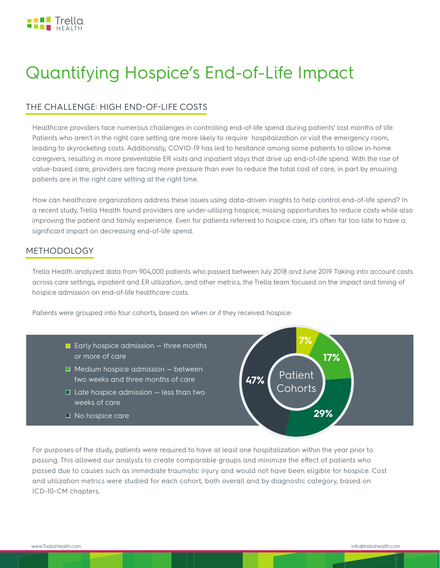

# Quantifying Hospice's End-of-Life Impact

#### THE CHALLENGE: HIGH END-OF-LIFE COSTS

Healthcare providers face numerous challenges in controlling end-of-life spend during patients' last months of life. Patients who aren't in the right care setting are more likely to require hospitalization or visit the emergency room, leading to skyrocketing costs. Additionally, COVID-19 has led to hesitance among some patients to allow in-home caregivers, resulting in more preventable ER visits and inpatient stays that drive up end-of-life spend. With the rise of value-based care, providers are facing more pressure than ever to reduce the total cost of care, in part by ensuring patients are in the right care setting at the right time.

How can healthcare organizations address these issues using data-driven insights to help control end-of-life spend? In a recent study, Trella Health found providers are under-utilizing hospice, missing opportunities to reduce costs while also improving the patient and family experience. Even for patients referred to hospice care, it's often far too late to have a significant impact on decreasing end-of-life spend.

#### METHODOLOGY

Trella Health analyzed data from 904,000 patients who passed between July 2018 and June 2019. Taking into account costs across care settings, inpatient and ER utilization, and other metrics, the Trella team focused on the impact and timing of hospice admission on end-of-life healthcare costs.

**47%**

**29%**

**17%**

**7%**

**Patient** Cohorts

Patients were grouped into four cohorts, based on when or if they received hospice:

- $\Box$  Early hospice admission  $-$  three months or more of care
- $\Box$  Medium hospice admission between two weeks and three months of care
- $\Box$  Late hospice admission  $-$  less than two weeks of care
- $\Box$  No hospice care

For purposes of the study, patients were required to have at least one hospitalization within the year prior to passing. This allowed our analysts to create comparable groups and minimize the effect of patients who passed due to causes such as immediate traumatic injury and would not have been eligible for hospice. Cost and utilization metrics were studied for each cohort, both overall and by diagnostic category, based on ICD-10-CM chapters.